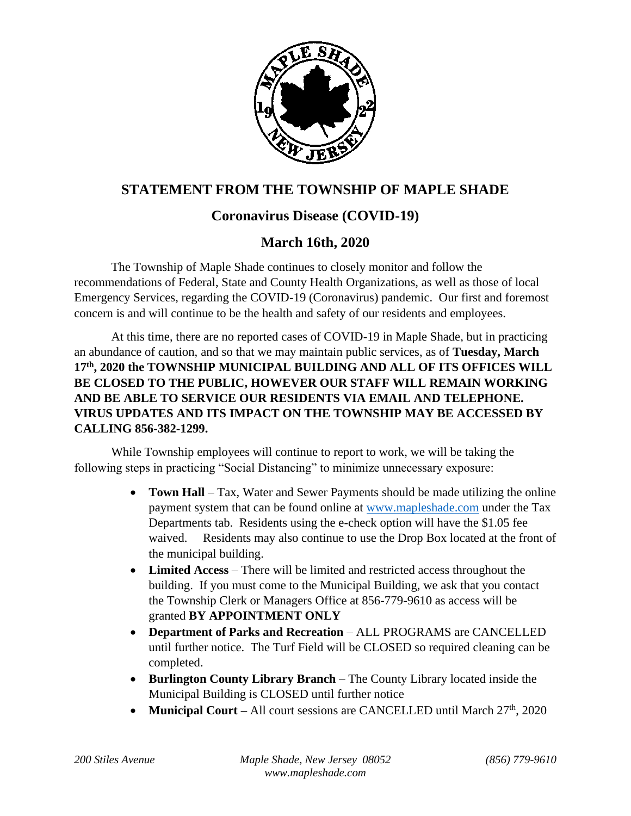

## **STATEMENT FROM THE TOWNSHIP OF MAPLE SHADE**

## **Coronavirus Disease (COVID-19)**

## **March 16th, 2020**

The Township of Maple Shade continues to closely monitor and follow the recommendations of Federal, State and County Health Organizations, as well as those of local Emergency Services, regarding the COVID-19 (Coronavirus) pandemic. Our first and foremost concern is and will continue to be the health and safety of our residents and employees.

At this time, there are no reported cases of COVID-19 in Maple Shade, but in practicing an abundance of caution, and so that we may maintain public services, as of **Tuesday, March 17th, 2020 the TOWNSHIP MUNICIPAL BUILDING AND ALL OF ITS OFFICES WILL BE CLOSED TO THE PUBLIC, HOWEVER OUR STAFF WILL REMAIN WORKING AND BE ABLE TO SERVICE OUR RESIDENTS VIA EMAIL AND TELEPHONE. VIRUS UPDATES AND ITS IMPACT ON THE TOWNSHIP MAY BE ACCESSED BY CALLING 856-382-1299.**

While Township employees will continue to report to work, we will be taking the following steps in practicing "Social Distancing" to minimize unnecessary exposure:

- **Town Hall** Tax, Water and Sewer Payments should be made utilizing the online payment system that can be found online at [www.mapleshade.com](http://www.mapleshade.com/) under the Tax Departments tab. Residents using the e-check option will have the \$1.05 fee waived. Residents may also continue to use the Drop Box located at the front of the municipal building.
- **Limited Access** There will be limited and restricted access throughout the building. If you must come to the Municipal Building, we ask that you contact the Township Clerk or Managers Office at 856-779-9610 as access will be granted **BY APPOINTMENT ONLY**
- **Department of Parks and Recreation** ALL PROGRAMS are CANCELLED until further notice. The Turf Field will be CLOSED so required cleaning can be completed.
- **Burlington County Library Branch** The County Library located inside the Municipal Building is CLOSED until further notice
- **Municipal Court** All court sessions are CANCELLED until March 27<sup>th</sup>, 2020